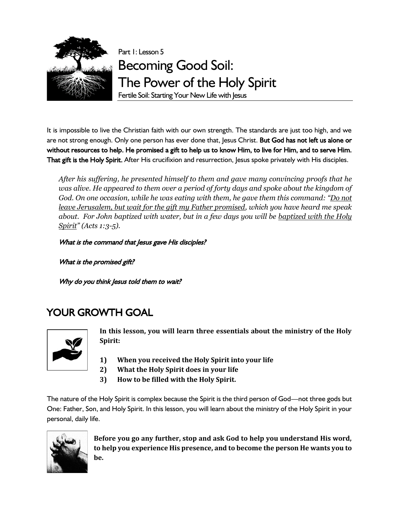

Part 1:1 esson 5 Becoming Good Soil: The Power of the Holy Spirit

Fertile Soil: Starting Your New Life with Jesus

It is impossible to live the Christian faith with our own strength. The standards are just too high, and we are not strong enough. Only one person has ever done that, Jesus Christ. But God has not left us alone or without resources to help. He promised a gift to help us to know Him, to live for Him, and to serve Him. That gift is the Holy Spirit. After His crucifixion and resurrection, Jesus spoke privately with His disciples.

*After his suffering, he presented himself to them and gave many convincing proofs that he was alive. He appeared to them over a period of forty days and spoke about the kingdom of God. On one occasion, while he was eating with them, he gave them this command: "Do not leave Jerusalem, but wait for the gift my Father promised, which you have heard me speak about. For John baptized with water, but in a few days you will be baptized with the Holy Spirit" (Acts 1:3-5).*

What is the command that Jesus gave His disciples?

What is the promised gift?

Why do you think Jesus told them to wait?

# YOUR GROWTH GOAL



**In this lesson, you will learn three essentials about the ministry of the Holy Spirit:**

- **1) When you received the Holy Spirit into your life**
- **2) What the Holy Spirit does in your life**
- **3) How to be filled with the Holy Spirit.**

The nature of the Holy Spirit is complex because the Spirit is the third person of God—not three gods but One: Father, Son, and Holy Spirit. In this lesson, you will learn about the ministry of the Holy Spirit in your personal, daily life.



**Before you go any further, stop and ask God to help you understand His word, to help you experience His presence, and to become the person He wants you to be.**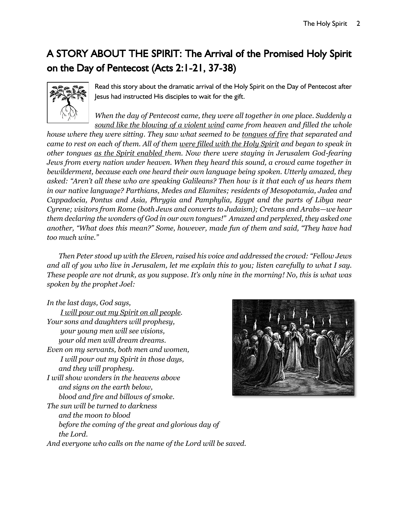# A STORY ABOUT THE SPIRIT: The Arrival of the Promised Holy Spirit on the Day of Pentecost (Acts 2:1-21, 37-38)



Read this story about the dramatic arrival of the Holy Spirit on the Day of Pentecost after Jesus had instructed His disciples to wait for the gift.

*When the day of Pentecost came, they were all together in one place. Suddenly a sound like the blowing of a violent wind came from heaven and filled the whole* 

*house where they were sitting. They saw what seemed to be tongues of fire that separated and came to rest on each of them. All of them were filled with the Holy Spirit and began to speak in other tongues as the Spirit enabled them. Now there were staying in Jerusalem God-fearing Jews from every nation under heaven. When they heard this sound, a crowd came together in bewilderment, because each one heard their own language being spoken. Utterly amazed, they asked: "Aren't all these who are speaking Galileans? Then how is it that each of us hears them in our native language? Parthians, Medes and Elamites; residents of Mesopotamia, Judea and Cappadocia, Pontus and Asia, Phrygia and Pamphylia, Egypt and the parts of Libya near Cyrene; visitors from Rome (both Jews and converts to Judaism); Cretans and Arabs—we hear them declaring the wonders of God in our own tongues!" Amazed and perplexed, they asked one another, "What does this mean?" Some, however, made fun of them and said, "They have had too much wine."*

*Then Peter stood up with the Eleven, raised his voice and addressed the crowd: "Fellow Jews and all of you who live in Jerusalem, let me explain this to you; listen carefully to what I say. These people are not drunk, as you suppose. It's only nine in the morning! No, this is what was spoken by the prophet Joel:*

*In the last days, God says,*

 *I will pour out my Spirit on all people. Your sons and daughters will prophesy, your young men will see visions, your old men will dream dreams. Even on my servants, both men and women, I will pour out my Spirit in those days, and they will prophesy. I will show wonders in the heavens above and signs on the earth below, blood and fire and billows of smoke. The sun will be turned to darkness and the moon to blood before the coming of the great and glorious day of the Lord. And everyone who calls on the name of the Lord will be saved.*

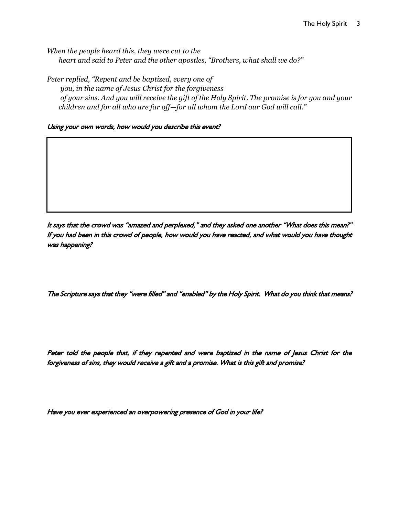*When the people heard this, they were cut to the heart and said to Peter and the other apostles, "Brothers, what shall we do?"*

*Peter replied, "Repent and be baptized, every one of you, in the name of Jesus Christ for the forgiveness of your sins. And you will receive the gift of the Holy Spirit. The promise is for you and your children and for all who are far off—for all whom the Lord our God will call."*

Using your own words, how would you describe this event?

. . . . . . . . . . . . 

It says that the crowd was "amazed and perplexed," and they asked one another "What does this mean?" If you had been in this crowd of people, how would you have reacted, and what would you have thought was happening?

The Scripture says that they "were filled" and "enabled" by the Holy Spirit. What do you think that means?

Peter told the people that, if they repented and were baptized in the name of Jesus Christ for the forgiveness of sins, they would receive a gift and a promise. What is this gift and promise?

Have you ever experienced an overpowering presence of God in your life?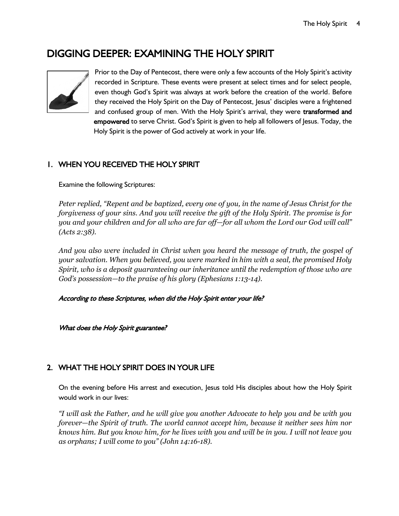## DIGGING DEEPER: EXAMINING THE HOLY SPIRIT



Prior to the Day of Pentecost, there were only a few accounts of the Holy Spirit's activity recorded in Scripture. These events were present at select times and for select people, even though God's Spirit was always at work before the creation of the world. Before they received the Holy Spirit on the Day of Pentecost, Jesus' disciples were a frightened and confused group of men. With the Holy Spirit's arrival, they were transformed and empowered to serve Christ. God's Spirit is given to help all followers of Jesus. Today, the Holy Spirit is the power of God actively at work in your life.

## 1. WHEN YOU RECEIVED THE HOLY SPIRIT

Examine the following Scriptures:

*Peter replied, "Repent and be baptized, every one of you, in the name of Jesus Christ for the forgiveness of your sins. And you will receive the gift of the Holy Spirit. The promise is for you and your children and for all who are far off—for all whom the Lord our God will call" (Acts 2:38).*

*And you also were included in Christ when you heard the message of truth, the gospel of your salvation. When you believed, you were marked in him with a seal, the promised Holy Spirit, who is a deposit guaranteeing our inheritance until the redemption of those who are God's possession—to the praise of his glory (Ephesians 1:13-14).*

#### According to these Scriptures, when did the Holy Spirit enter your life?

What does the Holy Spirit guarantee?

### 2. WHAT THE HOLY SPIRIT DOES IN YOUR LIFE

On the evening before His arrest and execution, Jesus told His disciples about how the Holy Spirit would work in our lives:

*"I will ask the Father, and he will give you another Advocate to help you and be with you forever—the Spirit of truth. The world cannot accept him, because it neither sees him nor knows him. But you know him, for he lives with you and will be in you. I will not leave you as orphans; I will come to you" (John 14:16-18).*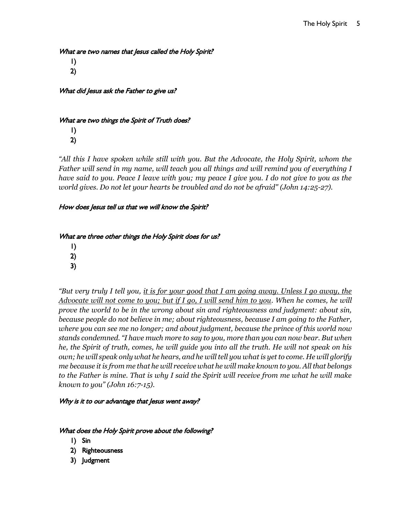What are two names that Jesus called the Holy Spirit?

1) 2)

What did Jesus ask the Father to give us?

#### What are two things the Spirit of Truth does?

1) 2)

*"All this I have spoken while still with you. But the Advocate, the Holy Spirit, whom the Father will send in my name, will teach you all things and will remind you of everything I have said to you. Peace I leave with you; my peace I give you. I do not give to you as the world gives. Do not let your hearts be troubled and do not be afraid" (John 14:25-27).*

#### How does Jesus tell us that we will know the Spirit?

#### What are three other things the Holy Spirit does for us?

1) 2) 3)

*"But very truly I tell you, it is for your good that I am going away. Unless I go away, the Advocate will not come to you; but if I go, I will send him to you. When he comes, he will prove the world to be in the wrong about sin and righteousness and judgment: about sin, because people do not believe in me; about righteousness, because I am going to the Father, where you can see me no longer; and about judgment, because the prince of this world now stands condemned. "I have much more to say to you, more than you can now bear. But when he, the Spirit of truth, comes, he will guide you into all the truth. He will not speak on his own; he will speak only what he hears, and he will tell you what is yet to come. He will glorify me because it is from me that he will receive what he will make known to you. All that belongs*  to the Father is mine. That is why I said the Spirit will receive from me what he will make *known to you" (John 16:7-15).*

#### Why is it to our advantage that Jesus went away?

#### What does the Holy Spirit prove about the following?

- 1) Sin
- 2) Righteousness
- 3) Judgment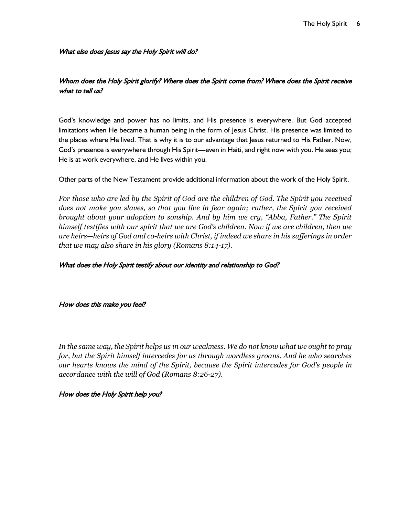What else does Jesus say the Holy Spirit will do?

### Whom does the Holy Spirit glorify? Where does the Spirit come from? Where does the Spirit receive what to tell us?

God's knowledge and power has no limits, and His presence is everywhere. But God accepted limitations when He became a human being in the form of Jesus Christ. His presence was limited to the places where He lived. That is why it is to our advantage that Jesus returned to His Father. Now, God's presence is everywhere through His Spirit—even in Haiti, and right now with you. He sees you; He is at work everywhere, and He lives within you.

Other parts of the New Testament provide additional information about the work of the Holy Spirit.

*For those who are led by the Spirit of God are the children of God. The Spirit you received does not make you slaves, so that you live in fear again; rather, the Spirit you received brought about your adoption to sonship. And by him we cry, "Abba, Father." The Spirit himself testifies with our spirit that we are God's children. Now if we are children, then we are heirs—heirs of God and co-heirs with Christ, if indeed we share in his sufferings in order that we may also share in his glory (Romans 8:14-17).*

What does the Holy Spirit testify about our identity and relationship to God?

How does this make you feel?

*In the same way, the Spirit helps us in our weakness. We do not know what we ought to pray for, but the Spirit himself intercedes for us through wordless groans. And he who searches our hearts knows the mind of the Spirit, because the Spirit intercedes for God's people in accordance with the will of God (Romans 8:26-27).*

How does the Holy Spirit help you?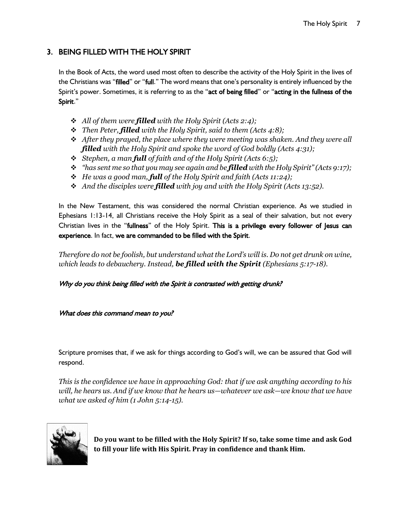## 3. BEING FILLED WITH THE HOLY SPIRIT

In the Book of Acts, the word used most often to describe the activity of the Holy Spirit in the lives of the Christians was "filled" or "full." The word means that one's personality is entirely influenced by the Spirit's power. Sometimes, it is referring to as the "act of being filled" or "acting in the fullness of the Spirit."

- ❖ *All of them were filled with the Holy Spirit (Acts 2:4);*
- ❖ *Then Peter, filled with the Holy Spirit, said to them (Acts 4:8);*
- ❖ *After they prayed, the place where they were meeting was shaken. And they were all filled with the Holy Spirit and spoke the word of God boldly (Acts 4:31);*
- ❖ *Stephen, a man full of faith and of the Holy Spirit (Acts 6:5);*
- ❖ *"has sent me so that you may see again and be filled with the Holy Spirit" (Acts 9:17);*
- ❖ *He was a good man, full of the Holy Spirit and faith (Acts 11:24);*
- ❖ *And the disciples were filled with joy and with the Holy Spirit (Acts 13:52).*

In the New Testament, this was considered the normal Christian experience. As we studied in Ephesians 1:13-14, all Christians receive the Holy Spirit as a seal of their salvation, but not every Christian lives in the "fullness" of the Holy Spirit. This is a privilege every follower of Jesus can experience. In fact, we are commanded to be filled with the Spirit.

*Therefore do not be foolish, but understand what the Lord's will is. Do not get drunk on wine, which leads to debauchery. Instead, be filled with the Spirit (Ephesians 5:17-18).*

Why do you think being filled with the Spirit is contrasted with getting drunk?

What does this command mean to you?

Scripture promises that, if we ask for things according to God's will, we can be assured that God will respond.

*This is the confidence we have in approaching God: that if we ask anything according to his will, he hears us. And if we know that he hears us—whatever we ask—we know that we have what we asked of him (1 John 5:14-15).*



**Do you want to be filled with the Holy Spirit? If so, take some time and ask God to fill your life with His Spirit. Pray in confidence and thank Him.**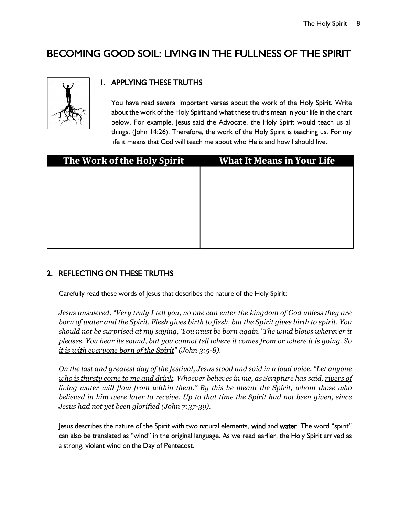## BECOMING GOOD SOIL: LIVING IN THE FULLNESS OF THE SPIRIT



## 1. APPLYING THESE TRUTHS

You have read several important verses about the work of the Holy Spirit. Write about the work of the Holy Spirit and what these truths mean in your life in the chart below. For example, Jesus said the Advocate, the Holy Spirit would teach us all things. (John 14:26). Therefore, the work of the Holy Spirit is teaching us. For my life it means that God will teach me about who He is and how I should live.

| The Work of the Holy Spirit | <b>What It Means in Your Life</b> |
|-----------------------------|-----------------------------------|
|                             |                                   |
|                             |                                   |
|                             |                                   |
|                             |                                   |
|                             |                                   |
|                             |                                   |
|                             |                                   |

## 2. REFLECTING ON THESE TRUTHS

Carefully read these words of Jesus that describes the nature of the Holy Spirit:

*Jesus answered, "Very truly I tell you, no one can enter the kingdom of God unless they are born of water and the Spirit. Flesh gives birth to flesh, but the Spirit gives birth to spirit. You should not be surprised at my saying, 'You must be born again.' The wind blows wherever it pleases. You hear its sound, but you cannot tell where it comes from or where it is going. So it is with everyone born of the Spirit" (John 3:5-8).*

*On the last and greatest day of the festival, Jesus stood and said in a loud voice, "Let anyone who is thirsty come to me and drink. Whoever believes in me, as Scripture has said, rivers of living water will flow from within them." By this he meant the Spirit, whom those who believed in him were later to receive. Up to that time the Spirit had not been given, since Jesus had not yet been glorified (John 7:37-39).*

Jesus describes the nature of the Spirit with two natural elements, wind and water. The word "spirit" can also be translated as "wind" in the original language. As we read earlier, the Holy Spirit arrived as a strong, violent wind on the Day of Pentecost.